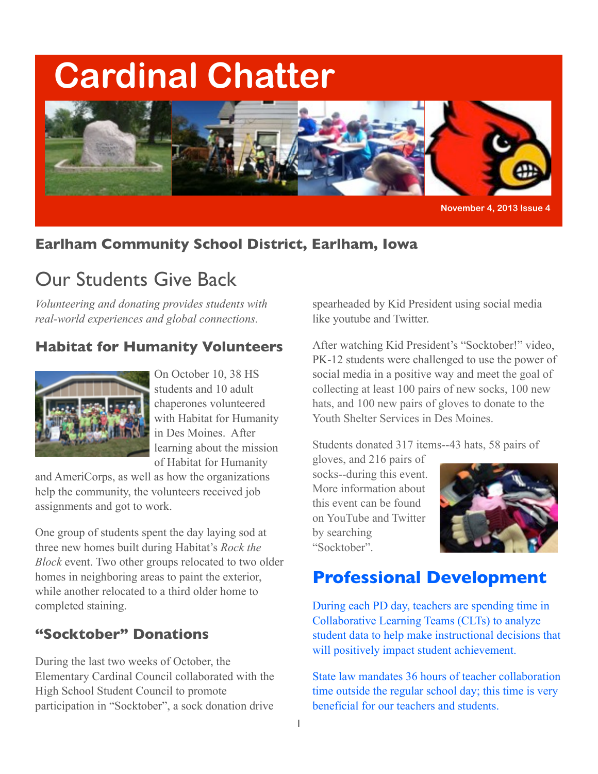## **Cardinal Chatter**



**November 4, 2013 Issue 4**

#### **Earlham Community School District, Earlham, Iowa**

### Our Students Give Back

*Volunteering and donating provides students with real-world experiences and global connections.*

#### **Habitat for Humanity Volunteers**



On October 10, 38 HS students and 10 adult chaperones volunteered with Habitat for Humanity in Des Moines. After learning about the mission of Habitat for Humanity

and AmeriCorps, as well as how the organizations help the community, the volunteers received job assignments and got to work.

One group of students spent the day laying sod at three new homes built during Habitat's *Rock the Block* event. Two other groups relocated to two older homes in neighboring areas to paint the exterior, while another relocated to a third older home to completed staining.

#### **"Socktober" Donations**

During the last two weeks of October, the Elementary Cardinal Council collaborated with the High School Student Council to promote participation in "Socktober", a sock donation drive spearheaded by Kid President using social media like youtube and Twitter.

After watching Kid President's "Socktober!" video, PK-12 students were challenged to use the power of social media in a positive way and meet the goal of collecting at least 100 pairs of new socks, 100 new hats, and 100 new pairs of gloves to donate to the Youth Shelter Services in Des Moines.

Students donated 317 items--43 hats, 58 pairs of

gloves, and 216 pairs of socks--during this event. More information about this event can be found on YouTube and Twitter by searching "Socktober".



#### **Professional Development**

During each PD day, teachers are spending time in Collaborative Learning Teams (CLTs) to analyze student data to help make instructional decisions that will positively impact student achievement.

State law mandates 36 hours of teacher collaboration time outside the regular school day; this time is very beneficial for our teachers and students.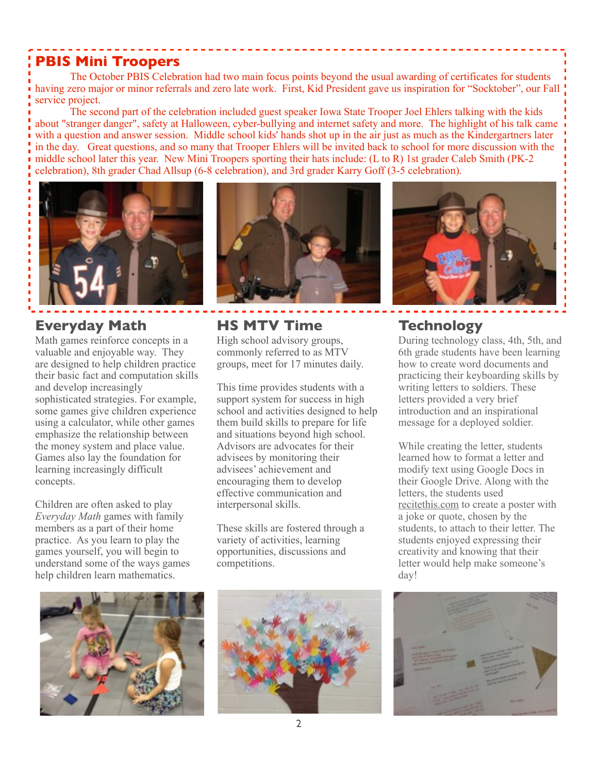#### **PBIS Mini Troopers**

 The October PBIS Celebration had two main focus points beyond the usual awarding of certificates for students having zero major or minor referrals and zero late work. First, Kid President gave us inspiration for "Socktober", our Fall service project.

 The second part of the celebration included guest speaker Iowa State Trooper Joel Ehlers talking with the kids about "stranger danger", safety at Halloween, cyber-bullying and internet safety and more. The highlight of his talk came with a question and answer session. Middle school kids' hands shot up in the air just as much as the Kindergartners later in the day. Great questions, and so many that Trooper Ehlers will be invited back to school for more discussion with the middle school later this year. New Mini Troopers sporting their hats include: (L to R) 1st grader Caleb Smith (PK-2 celebration), 8th grader Chad Allsup (6-8 celebration), and 3rd grader Karry Goff (3-5 celebration).



#### **Everyday Math**

Math games reinforce concepts in a valuable and enjoyable way. They are designed to help children practice their basic fact and computation skills and develop increasingly sophisticated strategies. For example, some games give children experience using a calculator, while other games emphasize the relationship between the money system and place value. Games also lay the foundation for learning increasingly difficult concepts.

Children are often asked to play *Everyday Math* games with family members as a part of their home practice. As you learn to play the games yourself, you will begin to understand some of the ways games help children learn mathematics.



#### **HS MTV Time**

High school advisory groups, commonly referred to as MTV groups, meet for 17 minutes daily.

This time provides students with a support system for success in high school and activities designed to help them build skills to prepare for life and situations beyond high school. Advisors are advocates for their advisees by monitoring their advisees' achievement and encouraging them to develop effective communication and interpersonal skills.

These skills are fostered through a variety of activities, learning opportunities, discussions and competitions.







#### **Technology**

During technology class, 4th, 5th, and 6th grade students have been learning how to create word documents and practicing their keyboarding skills by writing letters to soldiers. These letters provided a very brief introduction and an inspirational message for a deployed soldier.

While creating the letter, students learned how to format a letter and modify text using Google Docs in their Google Drive. Along with the letters, the students used [recitethis.com](http://recitethis.com/) to create a poster with a joke or quote, chosen by the students, to attach to their letter. The students enjoyed expressing their creativity and knowing that their letter would help make someone's day!

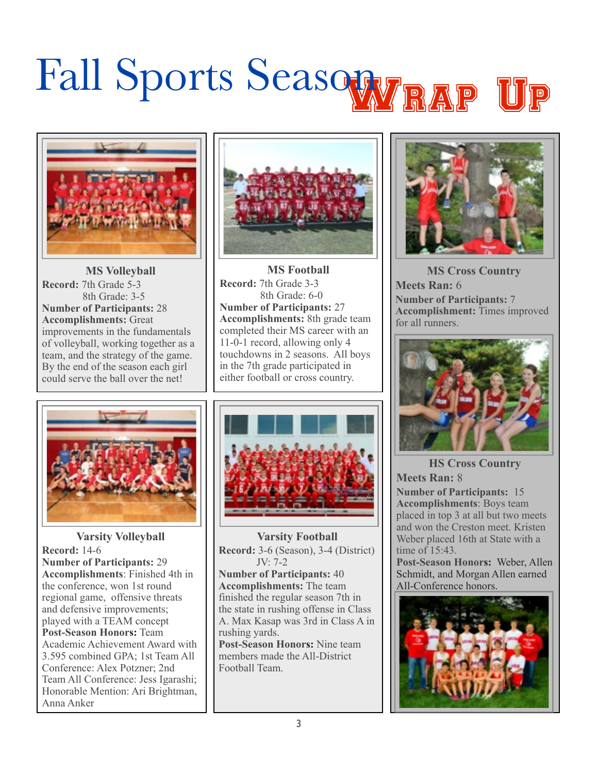# Fall Sports Seasowy RAP



**MS Volleyball Record:** 7th Grade 5-3 8th Grade: 3-5 **Number of Participants:** 28 **Accomplishments:** Great improvements in the fundamentals of volleyball, working together as a team, and the strategy of the game. By the end of the season each girl could serve the ball over the net!



**MS Football Record:** 7th Grade 3-3 8th Grade: 6-0 **Number of Participants:** 27 **Accomplishments:** 8th grade team completed their MS career with an 11-0-1 record, allowing only 4 touchdowns in 2 seasons. All boys in the 7th grade participated in either football or cross country.



**Varsity Volleyball Record:** 14-6 **Number of Participants:** 29 **Accomplishments**: Finished 4th in the conference, won 1st round regional game, offensive threats and defensive improvements; played with a TEAM concept **Post-Season Honors:** Team Academic Achievement Award with 3.595 combined GPA; 1st Team All Conference: Alex Potzner; 2nd Team All Conference: Jess Igarashi; Honorable Mention: Ari Brightman, Anna Anker



**Varsity Football Record:** 3-6 (Season), 3-4 (District) JV: 7-2 **Number of Participants:** 40 **Accomplishments:** The team finished the regular season 7th in the state in rushing offense in Class A. Max Kasap was 3rd in Class A in rushing yards. **Post-Season Honors:** Nine team members made the All-District Football Team.



**MS Cross Country Meets Ran:** 6 **Number of Participants:** 7 **Accomplishment:** Times improved for all runners.



**HS Cross Country Meets Ran:** 8

**Number of Participants:** 15 **Accomplishments**: Boys team placed in top 3 at all but two meets and won the Creston meet. Kristen Weber placed 16th at State with a time of  $15.43$ .

**Post-Season Honors:** Weber, Allen Schmidt, and Morgan Allen earned All-Conference honors.